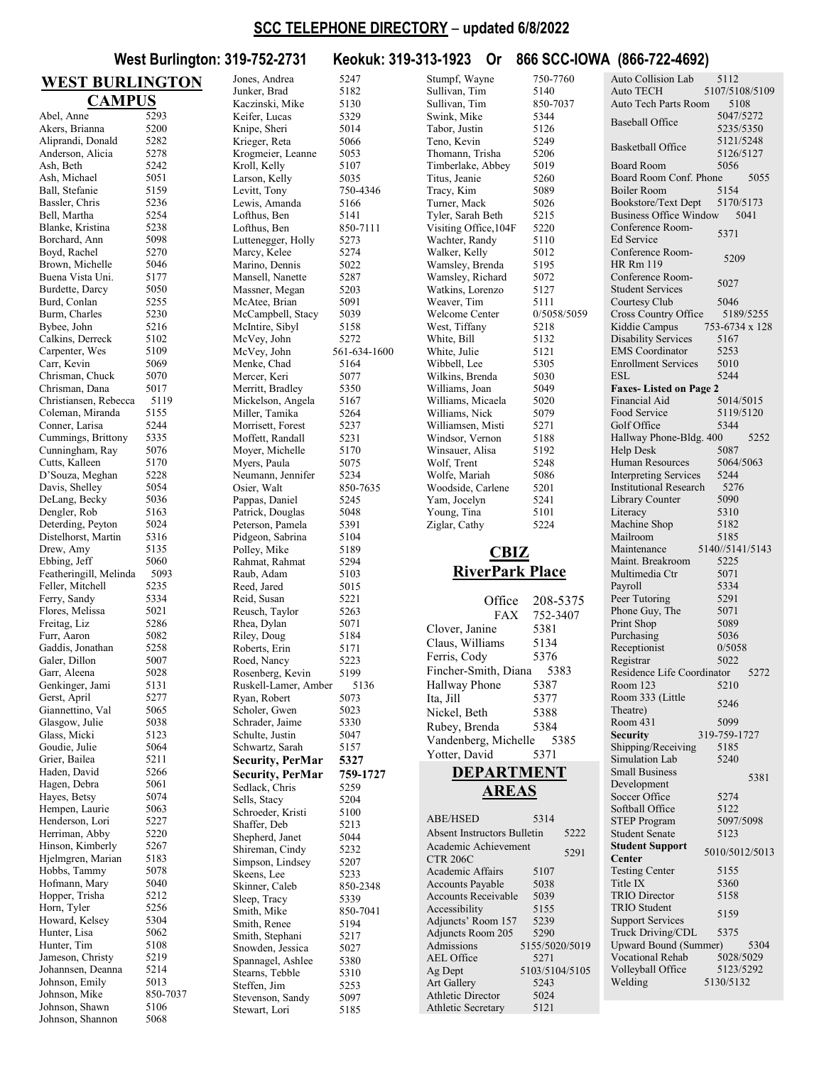#### **SCC TELEPHONE DIRECTORY** – **updated 6/8/2022**

**West Burlington: 319-752-2731 Keokuk: 319-313-1923 Or 866 SCC-IOWA (866-722-4692)**

#### **WEST BURLINGTON CAMPUS** Abel, Anne 5293<br>Akers, Brianna 5200 Akers, Brianna Aliprandi, Donald 5282<br>Anderson, Alicia 5278 Anderson, Alicia Ash, Beth 5242<br>Ash, Michael 5051 Ash, Michael 5051<br>
Ball Stefanie 5159 Ball, Stefanie Bassler, Chris 5236<br>Bell Martha 5254 Bell, Martha 5254<br>Blanke, Kristina 5238 Blanke, Kristina 5238<br>Borchard Ann 5098 Borchard, Ann Boyd, Rachel 5270<br>Brown, Michelle 5046 Brown, Michelle 5046<br>Buena Vista Uni. 5177 Buena Vista Uni. Burdette, Darcy 5050<br>Burd, Conlan 5255 Burd, Conlan 5255<br>Burm, Charles 5230 Burm, Charles 5230<br>Bybee, John 5216 Bybee, John Calkins, Derreck 5102 Carpenter, Wes 5109<br>Carr, Kevin 5069 Carr, Kevin 5069<br>Chrisman, Chuck 5070 Chrisman, Chuck Chrisman, Dana 5017<br>Christiansen, Rebecca 5119 Christiansen, Rebecca 511<br>Coleman Miranda 5155 Coleman, Miranda Conner, Larisa 5244<br>Cummings, Brittony 5335 Cummings, Brittony 5335<br>Cunningham, Ray 5076 Cunningham, Ray 5076<br>Cutts. Kalleen 5170 Cutts, Kalleen D'Souza, Meghan 5228<br>Davis, Shelley 5054 Davis, Shelley DeLang, Becky 5036<br>Dengler, Rob 5163 Dengler, Rob Deterding, Peyton 5024 Distelhorst, Martin 5316 Drew, Amy 5135<br>
Fhbing Jeff 5060 Ebbing, Jeff Featheringill, Melinda 5093<br>Feller, Mitchell 5235 Feller, Mitchell 5235<br>Ferry, Sandy 5334 Ferry, Sandy 5334<br>Flores. Melissa 5021 Flores, Melissa Freitag, Liz 5286<br>Furr, Aaron 5082 Furr, Aaron 5082<br>Gaddis Jonathan 5258 Gaddis, Jonathan Galer, Dillon 5007<br>Garr, Aleena 5028 Garr, Aleena 5028<br>Genkinger, Jami 5131 Genkinger, Jami Gerst, April 5277 Giannettino, Val 5065 Glasgow, Julie 5038<br>Glass, Micki 5123 Glass, Micki 5123<br>Goudie Julie 5064 Goudie, Julie Grier, Bailea 5211<br>Haden, David 5266 Haden, David 5266<br>Hagen, Debra 5061 Hagen, Debra 5061<br>Haves. Betsv 5074 Hayes, Betsy Hempen, Laurie 5063<br>Henderson, Lori 5227 Henderson, Lori 5227<br>Herriman, Abby 5220 Herriman, Abby Hinson, Kimberly 5267<br>Hjelmgren, Marian 5183 Hjelmgren, Marian 5183<br>Hobbs. Tammy 5078 Hobbs, Tammy Hofmann, Mary 5040<br>Hopper, Trisha 5212 Hopper, Trisha Horn, Tyler 5256<br>Howard, Kelsev 5304 Howard, Kelsey 5304<br>Hunter, Lisa 5062 Hunter, Lisa 5062<br>Hunter, Tim 5108 Hunter, Tim Jameson, Christy 5219<br>Johannsen, Deanna 5214 Johannsen, Deanna 5214<br>Johnson Emily 5013 Johnson, Emily Johnson, Mike 850-7037 Johnson, Shawn 5106<br>Johnson, Shannon 5068 Johnson, Shannon Knipe, Sheri Larson, Kelly Lewis, Amanda Lofthus, Ben Marino, Dennis Moyer, Michelle Osier, Walt Pidgeon, Sabrina Reed, Jared Riley, Doug 5184 Schulte, Justin Shaffer, Deb Shireman, Cindy Skeens, Lee Smith, Renee Stearns, Tebble Stevenson, Sandy

Jones, Andrea 5247 Junker, Brad 5182<br>Kaczinski, Mike 5130 Kaczinski, Mike 5130<br>Keifer, Lucas 5329 Keifer, Lucas 5329<br>
Knine Sheri 5014 Krieger, Reta 5066<br>Krogmeier, Leanne 5053 Krogmeier, Leanne Kroll, Kelly 5107<br>Larson Kelly 5035 Levitt, Tony 750-4346<br>Lewis, Amanda 5166 Lofthus, Ben 5141<br>Lofthus, Ben 850-7111 Luttenegger, Holly 5273<br>Marcy, Kelee 5274 Marcy, Kelee 5274<br>Marino Dennis 5022 Mansell, Nanette 5287 Massner, Megan 5203<br>McAtee, Brian 5091 McAtee, Brian 5091<br>McCamphell Stacy 5039 McCampbell, Stacy McIntire, Sibyl 5158 McVey, John 5272<br>McVey, John 561-63 561-634-1600 Menke, Chad 5164 Mercer, Keri 5077<br>Merritt, Bradlev 5350 Merritt, Bradley 5350<br>Mickelson, Angela 5167 Mickelson, Angela Miller, Tamika 5264<br>Morrisett, Forest 5237 Morrisett, Forest 5237<br>Moffett, Randall 5231 Moffett, Randall 5231<br>Moyer, Michelle 5170 Myers, Paula 5075<br>Neumann, Jennifer 5234 Neumann, Jennifer 5234<br>Osier. Walt 850-7635 Pappas, Daniel 5245<br>Patrick, Douglas 5048 Patrick, Douglas 5048<br>Peterson, Pamela 5391 Peterson, Pamela 5391<br>Pidgeon, Sabrina 5104 Polley, Mike 5189<br>Rahmat, Rahmat 5294 Rahmat, Rahmat 5294<br>Raub, Adam 5103 Raub, Adam 5103<br>Reed, Jared 5015 Reid, Susan 5221 Reusch, Taylor 5263 Rhea, Dylan 5071<br>Riley, Doug 5184 Roberts, Erin 5171<br>Roed, Nancy 5223 Roed, Nancy 5223<br>Rosenberg, Kevin 5199 Rosenberg, Kevin 5199<br>Ruskell-Lamer Amber 5136 Ruskell-Lamer, Amber Ryan, Robert 5073<br>Scholer, Gwen 5023 Scholer, Gwen 5023<br>Schrader Jaime 5330 Schrader, Jaime 5330<br>Schulte, Justin 5047 Schwartz, Sarah 5157<br>**Security, PerMar** 5327 **Security, PerMar Security, PerMar 759-1727** Sedlack, Chris 5259<br>Sells, Stacy 5204 Sells, Stacy 5204<br>Schroeder, Kristi 5100 Schroeder, Kristi 5100<br>Shaffer, Deb 5213 Shepherd, Janet 5044<br>Shireman, Cindy 5232 Simpson, Lindsey 5207<br>Skeens Lee 5233 Skinner, Caleb 850-2348<br>Sleep, Tracy 5339 Sleep, Tracy 5339<br>
Smith, Mike 850-7041 Smith, Mike 850-7<br>Smith, Renee 5194 Smith, Stephani 5217<br>Snowden, Jessica 5027 Snowden, Jessica 5027<br>Snannagel Ashlee 5380 Spannagel, Ashlee 5380<br>Stearns. Tebble 5310 Steffen, Jim 5253<br>Stevenson, Sandy 5097 Stewart, Lori 5185

Stumpf, Wayne 750-7760 Sullivan, Tim 5140<br>Sullivan, Tim 850-7037 Sullivan, Tim 850-7<br>Swink, Mike 5344 Swink, Mike 5344<br>Tabor, Justin 5126 Tabor, Justin Teno, Kevin 5249<br>Thomann, Trisha 5206 Thomann, Trisha Timberlake, Abbey 5019<br>Titus Ieanie 5260 Titus, Jeanie Tracy, Kim 5089<br>Turner, Mack 5026 Turner, Mack Tyler, Sarah Beth 5215<br>Visiting Office, 104F 5220 Visiting Office, 104F Wachter, Randy 5110<br>Walker, Kelly 5012 Walker, Kelly 5012<br>Wamsley Brenda 5195 Wamsley, Brenda Wamsley, Richard 5072 Watkins, Lorenzo 5127<br>Weaver, Tim 5111 Weaver, Tim 5111<br>Welcome Center 0/5058/5059 Welcome Center West, Tiffany 5218<br>White, Bill 5132 White, Bill 5132<br>White, Julie 5121 White, Julie 5121<br>Wibbell Lee 5305 Wibbell, Lee 5305<br>Wilkins. Brenda 5030 Wilkins, Brenda 5030<br>Williams, Joan 5049 Williams, Joan 5049<br>Williams, Micaela 5020 Williams, Micaela 5020<br>Williams, Nick 5079 Williams, Nick 5079<br>Williamsen, Misti 5271 Williamsen, Misti 5271<br>Windsor, Vernon 5188 Windsor, Vernon 5188<br>Winsauer, Alisa 5192 Winsauer, Alisa Wolf, Trent 5248<br>Wolfe, Mariah 5086 Wolfe, Mariah 5086<br>Woodside, Carlene 5201 Woodside, Carlene Yam, Jocelyn 5241 Young, Tina 5101<br>Ziglar, Cathy 5224 Ziglar, Cathy **CBIZ RiverPark Place** Office 208-5375<br>FAX 752-3407 752-3407

Clover, Janine 5381 Claus, Williams 5134<br>Ferris, Cody 5376 Ferris, Cody Fincher-Smith, Diana 5383 Hallway Phone 5387 Ita, Jill 5377 Nickel, Beth 5388 Rubey, Brenda 5384<br>Vandenberg, Michelle 5385 Vandenberg, Michelle Yotter, David 5371 **DEPARTMENT** 

# **AREAS**

| <b>ABE/HSED</b>                         | 5314           |      |
|-----------------------------------------|----------------|------|
| <b>Absent Instructors Bulletin</b>      |                | 5222 |
| Academic Achievement<br><b>CTR 206C</b> |                | 5291 |
| Academic Affairs                        | 5107           |      |
| <b>Accounts Payable</b>                 | 5038           |      |
| <b>Accounts Receivable</b>              | 5039           |      |
| Accessibility                           | 5155           |      |
| Adjuncts' Room 157                      | 5239           |      |
| Adjuncts Room 205                       | 5290           |      |
| Admissions                              | 5155/5020/5019 |      |
| <b>AEL Office</b>                       | 5271           |      |
| Ag Dept                                 | 5103/5104/5105 |      |
| Art Gallery                             | 5243           |      |
| <b>Athletic Director</b>                | 5024           |      |
| <b>Athletic Secretary</b>               | 5121           |      |
|                                         |                |      |

| Auto Collision Lab                                    | 5112                   |
|-------------------------------------------------------|------------------------|
| <b>Auto TECH</b><br>Auto Tech Parts Room              | 5107/5108/5109<br>5108 |
| <b>Baseball Office</b>                                | 5047/5272              |
|                                                       | 5235/5350              |
| <b>Basketball Office</b>                              | 5121/5248<br>5126/5127 |
| Board Room                                            | 5056                   |
| Board Room Conf. Phone                                | 5055                   |
| Boiler Room<br><b>Bookstore/Text Dept</b>             | 5154<br>5170/5173      |
| <b>Business Office Window</b>                         | 5041                   |
| Conference Room-                                      | 5371                   |
| Ed Service<br>Conference Room-                        |                        |
| HR Rm 119                                             | 5209                   |
| Conference Room-                                      | 5027                   |
| <b>Student Services</b><br>Courtesy Club              | 5046                   |
| Cross Country Office                                  | 5189/5255              |
| Kiddie Campus                                         | 753-6734 x 128         |
| <b>Disability Services</b><br><b>EMS</b> Coordinator  | 5167<br>5253           |
| <b>Enrollment Services</b>                            | 5010                   |
| ESL                                                   | 5244                   |
| <b>Faxes-Listed on Page 2</b><br><b>Financial Aid</b> |                        |
| Food Service                                          | 5014/5015<br>5119/5120 |
| Golf Office                                           | 5344                   |
| Hallway Phone-Bldg. 400                               | 5252                   |
| <b>Help Desk</b><br>Human Resources                   | 5087<br>5064/5063      |
| <b>Interpreting Services</b>                          | 5244                   |
| <b>Institutional Research</b>                         | 5276                   |
| Library Counter<br>Literacy                           | 5090<br>5310           |
| Machine Shop                                          | 5182                   |
| Mailroom                                              | 5185                   |
| Maintenance                                           | 5140//5141/5143        |
| Maint. Breakroom<br>Multimedia Ctr                    | 5225<br>5071           |
| Payroll                                               | 5334                   |
| Peer Tutoring                                         | 5291                   |
| Phone Guy, The                                        | 5071<br>5089           |
| Print Shop<br>Purchasing                              | 5036                   |
| Receptionist                                          | 0/5058                 |
| Registrar                                             | 5022                   |
| Residence Life Coordinator<br>Room 123                | 5272<br>5210           |
| Room 333 (Little                                      | 5246                   |
| Theatre)<br>Room 431                                  | 5099                   |
| Security                                              | 319-759-1727           |
| Shipping/Receiving                                    | 5185                   |
| Simulation Lab                                        | 5240                   |
| <b>Small Business</b><br>Development                  | 5381                   |
| Soccer Office                                         | 5274                   |
| Softball Office                                       | 5122                   |
| <b>STEP Program</b><br><b>Student Senate</b>          | 5097/5098<br>5123      |
| <b>Student Support</b>                                | 5010/5012/5013         |
| Center                                                |                        |
| <b>Testing Center</b><br>Title IX                     | 5155<br>5360           |
| <b>TRIO Director</b>                                  | 5158                   |
| <b>TRIO</b> Student                                   | 5159                   |
| <b>Support Services</b>                               |                        |
| Truck Driving/CDL<br><b>Upward Bound (Summer)</b>     | 5375<br>5304           |
| Vocational Rehab                                      | 5028/5029              |
| Volleyball Office                                     | 5123/5292              |
| Welding                                               | 5130/5132              |